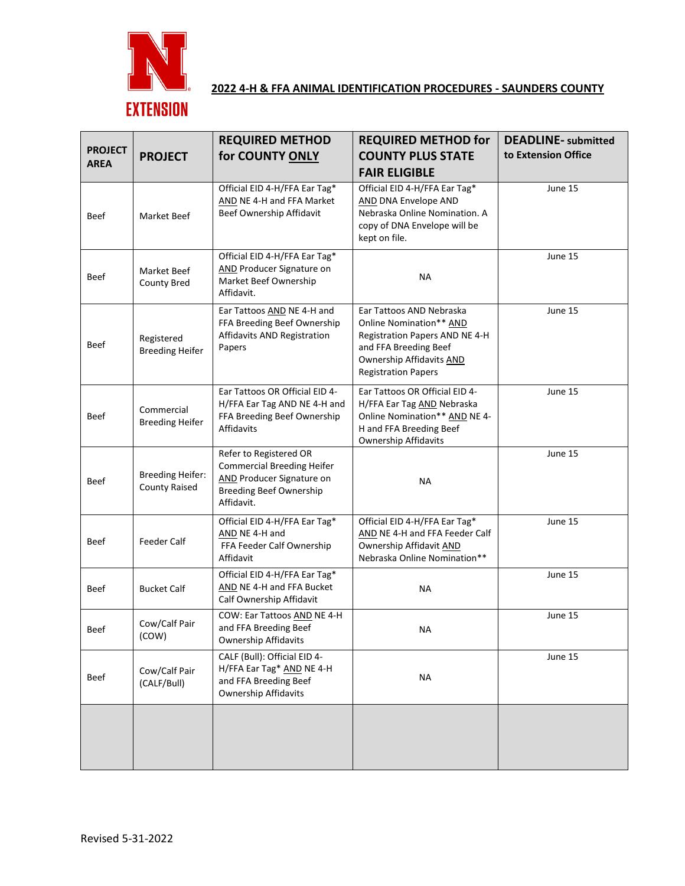

# **2022 4-H & FFA ANIMAL IDENTIFICATION PROCEDURES - SAUNDERS COUNTY**

|                |                                                 | <b>REQUIRED METHOD</b>                                                                                                                          | <b>REQUIRED METHOD for</b>                                                                                                                                               | <b>DEADLINE-</b> submitted |
|----------------|-------------------------------------------------|-------------------------------------------------------------------------------------------------------------------------------------------------|--------------------------------------------------------------------------------------------------------------------------------------------------------------------------|----------------------------|
| <b>PROJECT</b> | <b>PROJECT</b>                                  | for COUNTY ONLY                                                                                                                                 | <b>COUNTY PLUS STATE</b>                                                                                                                                                 | to Extension Office        |
| <b>AREA</b>    |                                                 |                                                                                                                                                 | <b>FAIR ELIGIBLE</b>                                                                                                                                                     |                            |
| Beef           | Market Beef                                     | Official EID 4-H/FFA Ear Tag*<br>AND NE 4-H and FFA Market<br>Beef Ownership Affidavit                                                          | Official EID 4-H/FFA Ear Tag*<br><b>AND DNA Envelope AND</b><br>Nebraska Online Nomination. A<br>copy of DNA Envelope will be<br>kept on file.                           | June 15                    |
| Beef           | Market Beef<br>County Bred                      | Official EID 4-H/FFA Ear Tag*<br><b>AND Producer Signature on</b><br>Market Beef Ownership<br>Affidavit.                                        | <b>NA</b>                                                                                                                                                                | June 15                    |
| Beef           | Registered<br><b>Breeding Heifer</b>            | Ear Tattoos AND NE 4-H and<br>FFA Breeding Beef Ownership<br>Affidavits AND Registration<br>Papers                                              | Ear Tattoos AND Nebraska<br>Online Nomination** AND<br>Registration Papers AND NE 4-H<br>and FFA Breeding Beef<br>Ownership Affidavits AND<br><b>Registration Papers</b> | June 15                    |
| Beef           | Commercial<br><b>Breeding Heifer</b>            | Ear Tattoos OR Official EID 4-<br>H/FFA Ear Tag AND NE 4-H and<br>FFA Breeding Beef Ownership<br>Affidavits                                     | Ear Tattoos OR Official EID 4-<br>H/FFA Ear Tag AND Nebraska<br>Online Nomination** AND NE 4-<br>H and FFA Breeding Beef<br><b>Ownership Affidavits</b>                  | June 15                    |
| Beef           | <b>Breeding Heifer:</b><br><b>County Raised</b> | Refer to Registered OR<br><b>Commercial Breeding Heifer</b><br><b>AND Producer Signature on</b><br><b>Breeding Beef Ownership</b><br>Affidavit. | <b>NA</b>                                                                                                                                                                | June 15                    |
| Beef           | <b>Feeder Calf</b>                              | Official EID 4-H/FFA Ear Tag*<br>AND NE 4-H and<br>FFA Feeder Calf Ownership<br>Affidavit                                                       | Official EID 4-H/FFA Ear Tag*<br>AND NE 4-H and FFA Feeder Calf<br>Ownership Affidavit AND<br>Nebraska Online Nomination**                                               | June 15                    |
| Beef           | <b>Bucket Calf</b>                              | Official EID 4-H/FFA Ear Tag*<br>AND NE 4-H and FFA Bucket<br>Calf Ownership Affidavit                                                          | <b>NA</b>                                                                                                                                                                | June 15                    |
| Beef           | Cow/Calf Pair<br>(COW)                          | COW: Ear Tattoos AND NE 4-H<br>and FFA Breeding Beef<br><b>Ownership Affidavits</b>                                                             | ΝA                                                                                                                                                                       | June 15                    |
| Beef           | Cow/Calf Pair<br>(CALF/Bull)                    | CALF (Bull): Official EID 4-<br>H/FFA Ear Tag* AND NE 4-H<br>and FFA Breeding Beef<br><b>Ownership Affidavits</b>                               | <b>NA</b>                                                                                                                                                                | June 15                    |
|                |                                                 |                                                                                                                                                 |                                                                                                                                                                          |                            |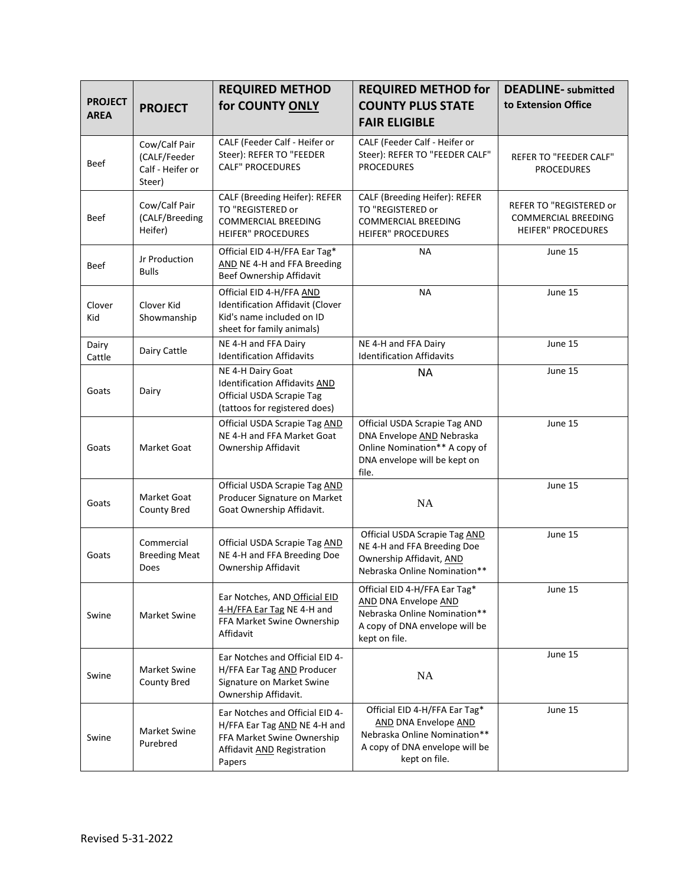| <b>PROJECT</b><br><b>AREA</b> | <b>PROJECT</b>                                              | <b>REQUIRED METHOD</b><br>for COUNTY ONLY                                                                                             | <b>REQUIRED METHOD for</b><br><b>COUNTY PLUS STATE</b><br><b>FAIR ELIGIBLE</b>                                                                  | <b>DEADLINE-</b> submitted<br>to Extension Office                                         |
|-------------------------------|-------------------------------------------------------------|---------------------------------------------------------------------------------------------------------------------------------------|-------------------------------------------------------------------------------------------------------------------------------------------------|-------------------------------------------------------------------------------------------|
| Beef                          | Cow/Calf Pair<br>(CALF/Feeder<br>Calf - Heifer or<br>Steer) | CALF (Feeder Calf - Heifer or<br>Steer): REFER TO "FEEDER<br><b>CALF" PROCEDURES</b>                                                  | CALF (Feeder Calf - Heifer or<br>Steer): REFER TO "FEEDER CALF"<br><b>PROCEDURES</b>                                                            | REFER TO "FEEDER CALF"<br><b>PROCEDURES</b>                                               |
| <b>Beef</b>                   | Cow/Calf Pair<br>(CALF/Breeding<br>Heifer)                  | CALF (Breeding Heifer): REFER<br>TO "REGISTERED or<br><b>COMMERCIAL BREEDING</b><br><b>HEIFER" PROCEDURES</b>                         | CALF (Breeding Heifer): REFER<br>TO "REGISTERED or<br><b>COMMERCIAL BREEDING</b><br><b>HEIFER" PROCEDURES</b>                                   | <b>REFER TO "REGISTERED or</b><br><b>COMMERCIAL BREEDING</b><br><b>HEIFER" PROCEDURES</b> |
| <b>Beef</b>                   | Jr Production<br><b>Bulls</b>                               | Official EID 4-H/FFA Ear Tag*<br>AND NE 4-H and FFA Breeding<br>Beef Ownership Affidavit                                              | <b>NA</b>                                                                                                                                       | June 15                                                                                   |
| Clover<br>Kid                 | Clover Kid<br>Showmanship                                   | Official EID 4-H/FFA AND<br>Identification Affidavit (Clover<br>Kid's name included on ID<br>sheet for family animals)                | <b>NA</b>                                                                                                                                       | June 15                                                                                   |
| Dairy<br>Cattle               | Dairy Cattle                                                | NE 4-H and FFA Dairy<br><b>Identification Affidavits</b>                                                                              | NE 4-H and FFA Dairy<br><b>Identification Affidavits</b>                                                                                        | June 15                                                                                   |
| Goats                         | Dairy                                                       | NE 4-H Dairy Goat<br>Identification Affidavits AND<br>Official USDA Scrapie Tag<br>(tattoos for registered does)                      | <b>NA</b>                                                                                                                                       | June 15                                                                                   |
| Goats                         | Market Goat                                                 | Official USDA Scrapie Tag AND<br>NE 4-H and FFA Market Goat<br>Ownership Affidavit                                                    | Official USDA Scrapie Tag AND<br>DNA Envelope AND Nebraska<br>Online Nomination** A copy of<br>DNA envelope will be kept on<br>file.            | June 15                                                                                   |
| Goats                         | Market Goat<br><b>County Bred</b>                           | Official USDA Scrapie Tag AND<br>Producer Signature on Market<br>Goat Ownership Affidavit.                                            | NA                                                                                                                                              | June 15                                                                                   |
| Goats                         | Commercial<br><b>Breeding Meat</b><br>Does                  | Official USDA Scrapie Tag AND<br>NE 4-H and FFA Breeding Doe<br>Ownership Affidavit                                                   | Official USDA Scrapie Tag AND<br>NE 4-H and FFA Breeding Doe<br>Ownership Affidavit, AND<br>Nebraska Online Nomination**                        | June 15                                                                                   |
| Swine                         | Market Swine                                                | Ear Notches, AND Official EID<br>4-H/FFA Ear Tag NE 4-H and<br>FFA Market Swine Ownership<br>Affidavit                                | Official EID 4-H/FFA Ear Tag*<br><b>AND DNA Envelope AND</b><br>Nebraska Online Nomination**<br>A copy of DNA envelope will be<br>kept on file. | June 15                                                                                   |
| Swine                         | Market Swine<br><b>County Bred</b>                          | Ear Notches and Official EID 4-<br>H/FFA Ear Tag AND Producer<br>Signature on Market Swine<br>Ownership Affidavit.                    | NA                                                                                                                                              | June 15                                                                                   |
| Swine                         | Market Swine<br>Purebred                                    | Ear Notches and Official EID 4-<br>H/FFA Ear Tag AND NE 4-H and<br>FFA Market Swine Ownership<br>Affidavit AND Registration<br>Papers | Official EID 4-H/FFA Ear Tag*<br>AND DNA Envelope AND<br>Nebraska Online Nomination**<br>A copy of DNA envelope will be<br>kept on file.        | June 15                                                                                   |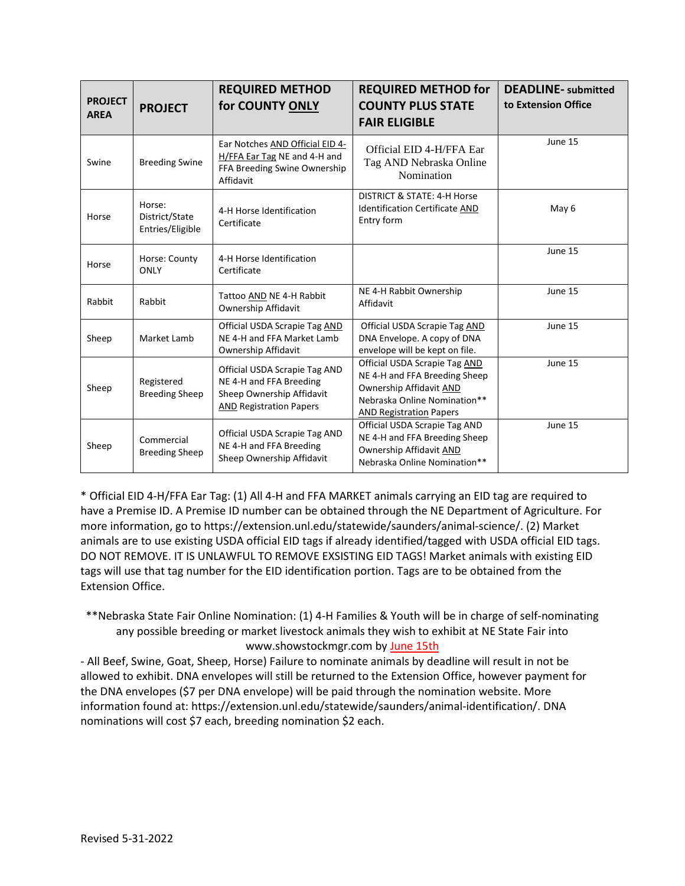| <b>PROJECT</b><br><b>AREA</b> | <b>PROJECT</b>                               | <b>REQUIRED METHOD</b><br>for COUNTY ONLY                                                                               | <b>REQUIRED METHOD for</b><br><b>COUNTY PLUS STATE</b><br><b>FAIR ELIGIBLE</b>                                                                              | <b>DEADLINE-</b> submitted<br>to Extension Office |
|-------------------------------|----------------------------------------------|-------------------------------------------------------------------------------------------------------------------------|-------------------------------------------------------------------------------------------------------------------------------------------------------------|---------------------------------------------------|
| Swine                         | <b>Breeding Swine</b>                        | Ear Notches AND Official EID 4-<br>H/FFA Ear Tag NE and 4-H and<br>FFA Breeding Swine Ownership<br>Affidavit            | Official EID 4-H/FFA Ear<br>Tag AND Nebraska Online<br>Nomination                                                                                           | June 15                                           |
| Horse                         | Horse:<br>District/State<br>Entries/Eligible | 4-H Horse Identification<br>Certificate                                                                                 | DISTRICT & STATE: 4-H Horse<br><b>Identification Certificate AND</b><br>Entry form                                                                          | May 6                                             |
| Horse                         | Horse: County<br><b>ONLY</b>                 | 4-H Horse Identification<br>Certificate                                                                                 |                                                                                                                                                             | June 15                                           |
| Rabbit                        | Rabbit                                       | Tattoo AND NE 4-H Rabbit<br>Ownership Affidavit                                                                         | NE 4-H Rabbit Ownership<br>Affidavit                                                                                                                        | June 15                                           |
| Sheep                         | Market Lamb                                  | Official USDA Scrapie Tag AND<br>NE 4-H and FFA Market Lamb<br>Ownership Affidavit                                      | Official USDA Scrapie Tag AND<br>DNA Envelope. A copy of DNA<br>envelope will be kept on file.                                                              | June 15                                           |
| Sheep                         | Registered<br><b>Breeding Sheep</b>          | Official USDA Scrapie Tag AND<br>NE 4-H and FFA Breeding<br>Sheep Ownership Affidavit<br><b>AND Registration Papers</b> | Official USDA Scrapie Tag AND<br>NE 4-H and FFA Breeding Sheep<br>Ownership Affidavit AND<br>Nebraska Online Nomination**<br><b>AND Registration Papers</b> | June 15                                           |
| Sheep                         | Commercial<br><b>Breeding Sheep</b>          | Official USDA Scrapie Tag AND<br>NE 4-H and FFA Breeding<br>Sheep Ownership Affidavit                                   | Official USDA Scrapie Tag AND<br>NE 4-H and FFA Breeding Sheep<br>Ownership Affidavit AND<br>Nebraska Online Nomination**                                   | June 15                                           |

\* Official EID 4-H/FFA Ear Tag: (1) All 4-H and FFA MARKET animals carrying an EID tag are required to have a Premise ID. A Premise ID number can be obtained through the NE Department of Agriculture. For more information, go to https://extension.unl.edu/statewide/saunders/animal-science/. (2) Market animals are to use existing USDA official EID tags if already identified/tagged with USDA official EID tags. DO NOT REMOVE. IT IS UNLAWFUL TO REMOVE EXSISTING EID TAGS! Market animals with existing EID tags will use that tag number for the EID identification portion. Tags are to be obtained from the Extension Office.

\*\*Nebraska State Fair Online Nomination: (1) 4-H Families & Youth will be in charge of self-nominating any possible breeding or market livestock animals they wish to exhibit at NE State Fair into www.showstockmgr.com by June 15th

- All Beef, Swine, Goat, Sheep, Horse) Failure to nominate animals by deadline will result in not be allowed to exhibit. DNA envelopes will still be returned to the Extension Office, however payment for the DNA envelopes (\$7 per DNA envelope) will be paid through the nomination website. More information found at: https://extension.unl.edu/statewide/saunders/animal-identification/. DNA nominations will cost \$7 each, breeding nomination \$2 each.